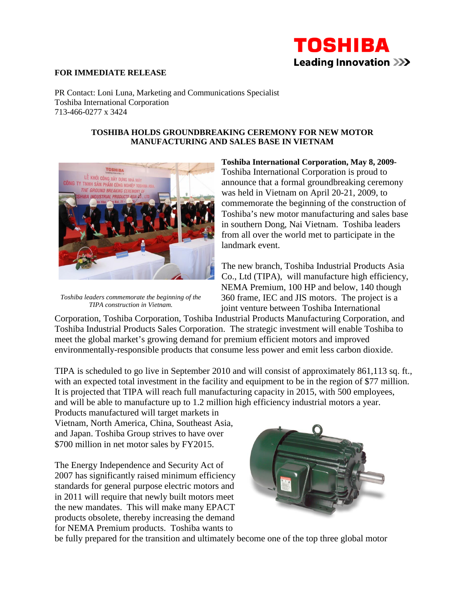## **TOSHIBA Leading Innovation >>>**

## **FOR IMMEDIATE RELEASE**

PR Contact: Loni Luna, Marketing and Communications Specialist Toshiba International Corporation 713-466-0277 x 3424

## **TOSHIBA HOLDS GROUNDBREAKING CEREMONY FOR NEW MOTOR MANUFACTURING AND SALES BASE IN VIETNAM**



*Toshiba leaders commemorate the beginning of the TIPA construction in Vietnam.*

**Toshiba International Corporation, May 8, 2009-** Toshiba International Corporation is proud to announce that a formal groundbreaking ceremony was held in Vietnam on April 20-21, 2009, to commemorate the beginning of the construction of Toshiba's new motor manufacturing and sales base in southern Dong, Nai Vietnam. Toshiba leaders from all over the world met to participate in the landmark event.

The new branch, Toshiba Industrial Products Asia Co., Ltd (TIPA), will manufacture high efficiency, NEMA Premium, 100 HP and below, 140 though 360 frame, IEC and JIS motors. The project is a joint venture between Toshiba International

Corporation, Toshiba Corporation, Toshiba Industrial Products Manufacturing Corporation, and Toshiba Industrial Products Sales Corporation. The strategic investment will enable Toshiba to meet the global market's growing demand for premium efficient motors and improved environmentally-responsible products that consume less power and emit less carbon dioxide.

TIPA is scheduled to go live in September 2010 and will consist of approximately 861,113 sq. ft., with an expected total investment in the facility and equipment to be in the region of \$77 million. It is projected that TIPA will reach full manufacturing capacity in 2015, with 500 employees, and will be able to manufacture up to 1.2 million high efficiency industrial motors a year.

Products manufactured will target markets in Vietnam, North America, China, Southeast Asia, and Japan. Toshiba Group strives to have over \$700 million in net motor sales by FY2015.

The Energy Independence and Security Act of 2007 has significantly raised minimum efficiency standards for general purpose electric motors and in 2011 will require that newly built motors meet the new mandates. This will make many EPACT products obsolete, thereby increasing the demand for NEMA Premium products. Toshiba wants to



be fully prepared for the transition and ultimately become one of the top three global motor